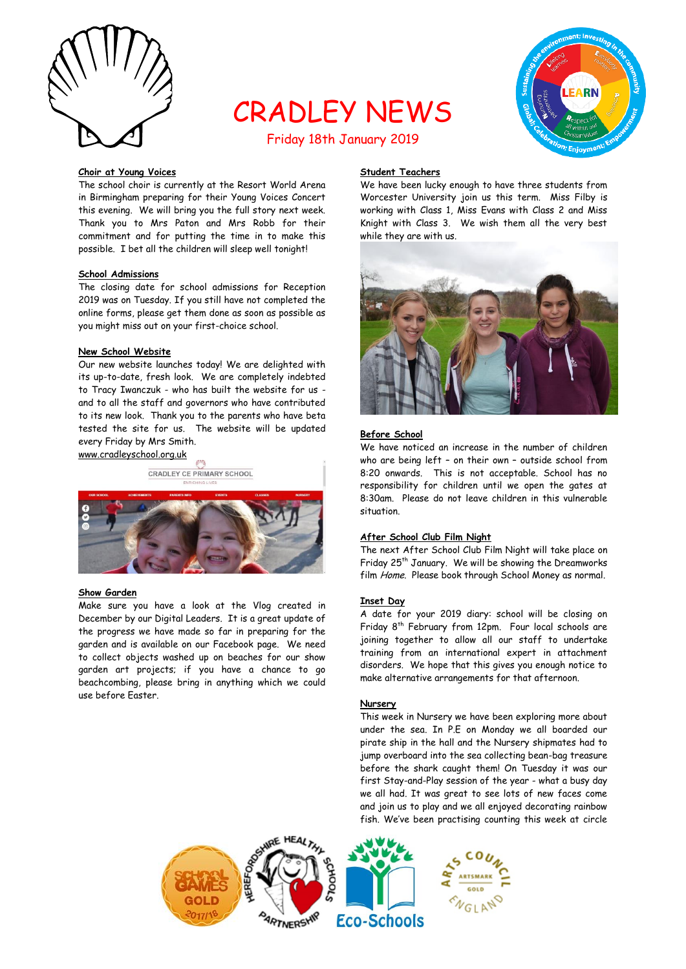

# CRADLEY NEWS Friday 18th January 2019



## **Choir at Young Voices**

The school choir is currently at the Resort World Arena in Birmingham preparing for their Young Voices Concert this evening. We will bring you the full story next week. Thank you to Mrs Paton and Mrs Robb for their commitment and for putting the time in to make this possible. I bet all the children will sleep well tonight!

#### **School Admissions**

The closing date for school admissions for Reception 2019 was on Tuesday. If you still have not completed the online forms, please get them done as soon as possible as you might miss out on your first-choice school.

#### **New School Website**

Our new website launches today! We are delighted with its up-to-date, fresh look. We are completely indebted to Tracy Iwanczuk - who has built the website for us and to all the staff and governors who have contributed to its new look. Thank you to the parents who have beta tested the site for us. The website will be updated every Friday by Mrs Smith.

www.cradleyschool.org.uk

CRADLEY CE PRIMARY SCHOOL



#### **Show Garden**

Make sure you have a look at the Vlog created in December by our Digital Leaders. It is a great update of the progress we have made so far in preparing for the garden and is available on our Facebook page. We need to collect objects washed up on beaches for our show garden art projects; if you have a chance to go beachcombing, please bring in anything which we could use before Easter.

# **Student Teachers**

We have been lucky enough to have three students from Worcester University join us this term. Miss Filby is working with Class 1, Miss Evans with Class 2 and Miss Knight with Class 3. We wish them all the very best while they are with us.



# **Before School**

We have noticed an increase in the number of children who are being left – on their own – outside school from 8:20 onwards. This is not acceptable. School has no responsibility for children until we open the gates at 8:30am. Please do not leave children in this vulnerable situation.

## **After School Club Film Night**

The next After School Club Film Night will take place on Friday 25<sup>th</sup> January. We will be showing the Dreamworks film Home. Please book through School Money as normal.

#### **Inset Day**

A date for your 2019 diary: school will be closing on Friday 8th February from 12pm. Four local schools are joining together to allow all our staff to undertake training from an international expert in attachment disorders. We hope that this gives you enough notice to make alternative arrangements for that afternoon.

#### **Nursery**

This week in Nursery we have been exploring more about under the sea. In P.E on Monday we all boarded our pirate ship in the hall and the Nursery shipmates had to jump overboard into the sea collecting bean-bag treasure before the shark caught them! On Tuesday it was our first Stay-and-Play session of the year - what a busy day we all had. It was great to see lots of new faces come and join us to play and we all enjoyed decorating rainbow fish. We've been practising counting this week at circle

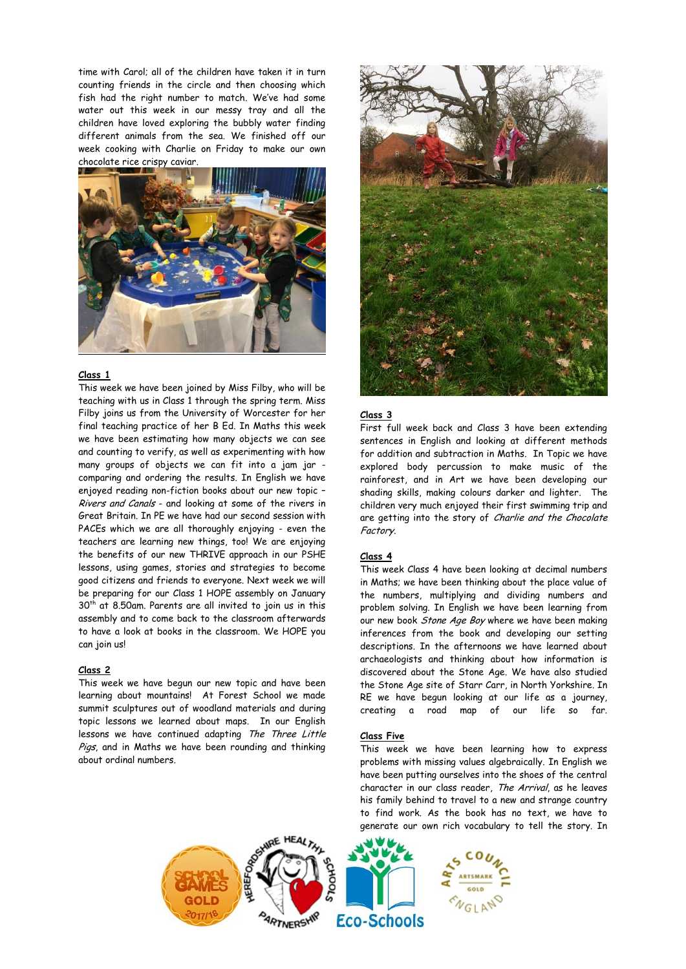time with Carol; all of the children have taken it in turn counting friends in the circle and then choosing which fish had the right number to match. We've had some water out this week in our messy tray and all the children have loved exploring the bubbly water finding different animals from the sea. We finished off our week cooking with Charlie on Friday to make our own chocolate rice crispy caviar.



## **Class 1**

This week we have been joined by Miss Filby, who will be teaching with us in Class 1 through the spring term. Miss Filby joins us from the University of Worcester for her final teaching practice of her B Ed. In Maths this week we have been estimating how many objects we can see and counting to verify, as well as experimenting with how many groups of objects we can fit into a jam jar comparing and ordering the results. In English we have enjoyed reading non-fiction books about our new topic – Rivers and Canals - and looking at some of the rivers in Great Britain. In PE we have had our second session with PACEs which we are all thoroughly enjoying - even the teachers are learning new things, too! We are enjoying the benefits of our new THRIVE approach in our PSHE lessons, using games, stories and strategies to become good citizens and friends to everyone. Next week we will be preparing for our Class 1 HOPE assembly on January 30<sup>th</sup> at 8.50am. Parents are all invited to join us in this assembly and to come back to the classroom afterwards to have a look at books in the classroom. We HOPE you can join us!

#### **Class 2**

This week we have begun our new topic and have been learning about mountains! At Forest School we made summit sculptures out of woodland materials and during topic lessons we learned about maps. In our English lessons we have continued adapting The Three Little Pigs, and in Maths we have been rounding and thinking about ordinal numbers.



## **Class 3**

First full week back and Class 3 have been extending sentences in English and looking at different methods for addition and subtraction in Maths. In Topic we have explored body percussion to make music of the rainforest, and in Art we have been developing our shading skills, making colours darker and lighter. The children very much enjoyed their first swimming trip and are getting into the story of Charlie and the Chocolate Factory.

#### **Class 4**

This week Class 4 have been looking at decimal numbers in Maths; we have been thinking about the place value of the numbers, multiplying and dividing numbers and problem solving. In English we have been learning from our new book *Stone Age Boy* where we have been making inferences from the book and developing our setting descriptions. In the afternoons we have learned about archaeologists and thinking about how information is discovered about the Stone Age. We have also studied the Stone Age site of Starr Carr, in North Yorkshire. In RE we have begun looking at our life as a journey, creating a road map of our life so far.

## **Class Five**

This week we have been learning how to express problems with missing values algebraically. In English we have been putting ourselves into the shoes of the central character in our class reader, The Arrival, as he leaves his family behind to travel to a new and strange country to find work. As the book has no text, we have to generate our own rich vocabulary to tell the story. In